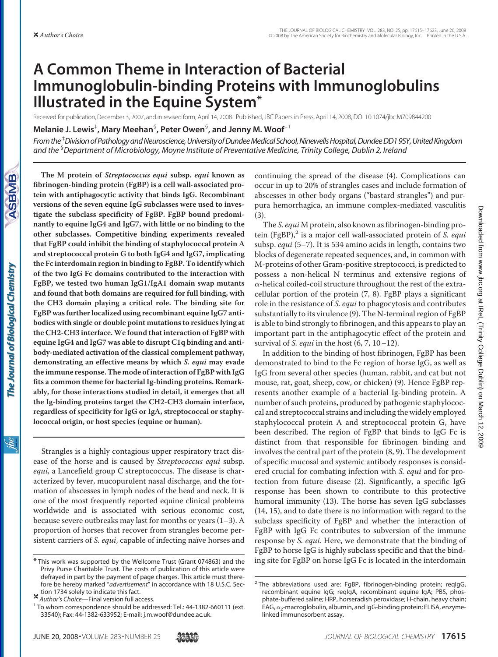# **A Common Theme in Interaction of Bacterial Immunoglobulin-binding Proteins with Immunoglobulins Illustrated in the Equine System\***

Received for publication, December 3, 2007, and in revised form, April 14, 2008 Published, JBC Papers in Press, April 14, 2008, DOI 10.1074/jbc.M709844200

**Melanie J. Lewis**‡ **, Mary Meehan**§ **, Peter Owen**§ **, and Jenny M. Woof**‡1

*From the* ‡ *DivisionofPathologyandNeuroscience,UniversityofDundeeMedicalSchool,NinewellsHospital,DundeeDD19SY,UnitedKingdom and the* § *Department of Microbiology, Moyne Institute of Preventative Medicine, Trinity College, Dublin 2, Ireland*

**The M protein of** *Streptococcus equi* **subsp.** *equi* **known as fibrinogen-binding protein (FgBP) is a cell wall-associated protein with antiphagocytic activity that binds IgG. Recombinant versions of the seven equine IgG subclasses were used to investigate the subclass specificity of FgBP. FgBP bound predominantly to equine IgG4 and IgG7, with little or no binding to the other subclasses. Competitive binding experiments revealed that FgBP could inhibit the binding of staphylococcal protein A and streptococcal protein G to both IgG4 and IgG7, implicating the Fc interdomain region in binding to FgBP. To identify which of the two IgG Fc domains contributed to the interaction with FgBP, we tested two human IgG1/IgA1 domain swap mutants and found that both domains are required for full binding, with the CH3 domain playing a critical role. The binding site for FgBP was further localized using recombinant equine IgG7 antibodies with single or double point mutations to residues lying at the CH2-CH3 interface. We found that interaction of FgBP with equine IgG4 and IgG7 was able to disrupt C1q binding and antibody-mediated activation of the classical complement pathway, demonstrating an effective means by which** *S. equi* **may evade the immune response. The mode of interaction of FgBP with IgG fits a common theme for bacterial Ig-binding proteins. Remarkably, for those interactions studied in detail, it emerges that all the Ig-binding proteins target the CH2-CH3 domain interface, regardless of specificity for IgG or IgA, streptococcal or staphylococcal origin, or host species (equine or human).**

Strangles is a highly contagious upper respiratory tract disease of the horse and is caused by *Streptococcus equi* subsp. *equi*, a Lancefield group C streptococcus. The disease is characterized by fever, mucopurulent nasal discharge, and the formation of abscesses in lymph nodes of the head and neck. It is one of the most frequently reported equine clinical problems worldwide and is associated with serious economic cost, because severe outbreaks may last for months or years  $(1-3)$ . A proportion of horses that recover from strangles become persistent carriers of *S. equi*, capable of infecting naïve horses and

continuing the spread of the disease (4). Complications can occur in up to 20% of strangles cases and include formation of abscesses in other body organs ("bastard strangles") and purpura hemorrhagica, an immune complex-mediated vasculitis (3).

The *S. equi* M protein, also known as fibrinogen-binding protein (FgBP),<sup>2</sup> is a major cell wall-associated protein of *S. equi* subsp. *equi* (5–7). It is 534 amino acids in length, contains two blocks of degenerate repeated sequences, and, in common with M-proteins of other Gram-positive streptococci, is predicted to possess a non-helical N terminus and extensive regions of  $\alpha$ -helical coiled-coil structure throughout the rest of the extracellular portion of the protein (7, 8). FgBP plays a significant role in the resistance of *S. equi* to phagocytosis and contributes substantially to its virulence (9). The N-terminal region of FgBP is able to bind strongly to fibrinogen, and this appears to play an important part in the antiphagocytic effect of the protein and survival of *S. equi* in the host (6, 7, 10–12).

In addition to the binding of host fibrinogen, FgBP has been demonstrated to bind to the Fc region of horse IgG, as well as IgG from several other species (human, rabbit, and cat but not mouse, rat, goat, sheep, cow, or chicken) (9). Hence FgBP represents another example of a bacterial Ig-binding protein. A number of such proteins, produced by pathogenic staphylococcal and streptococcal strains and including the widely employed staphylococcal protein A and streptococcal protein G, have been described. The region of FgBP that binds to IgG Fc is distinct from that responsible for fibrinogen binding and involves the central part of the protein (8, 9). The development of specific mucosal and systemic antibody responses is considered crucial for combating infection with *S. equi* and for protection from future disease (2). Significantly, a specific IgG response has been shown to contribute to this protective humoral immunity (13). The horse has seven IgG subclasses (14, 15), and to date there is no information with regard to the subclass specificity of FgBP and whether the interaction of FgBP with IgG Fc contributes to subversion of the immune response by *S. equi*. Here, we demonstrate that the binding of FgBP to horse IgG is highly subclass specific and that the bindDownloadedfrom [www.jbc.org](http://www.jbc.org) at IReL (Trinity College Dublin) on March 12, 2009

Downloaded from www.jbc.org at IReL (Trinity College Dublin) on March 12, 2009

 $*$  This work was supported by the Wellcome Trust (Grant 074863) and the ing site for FgBP on horse IgG Fc is located in the interdomain Privy Purse Charitable Trust. The costs of publication of this article were defrayed in part by the payment of page charges. This article must therefore be hereby marked "*advertisement*" in accordance with 18 U.S.C. Sec-

tion 1734 solely to indicate this fact.<br> *K Author's Choice*—Final version full access.

<sup>&</sup>lt;sup>1</sup> To whom correspondence should be addressed: Tel.: 44-1382-660111 (ext. 33540); Fax: 44-1382-633952; E-mail: j.m.woof@dundee.ac.uk.

<sup>&</sup>lt;sup>2</sup> The abbreviations used are: FgBP, fibrinogen-binding protein; reqlgG, recombinant equine IgG; reqIgA, recombinant equine IgA; PBS, phosphate-buffered saline; HRP, horseradish peroxidase; H-chain, heavy chain; EAG,  $\alpha$ <sub>2</sub>-macroglobulin, albumin, and IgG-binding protein; ELISA, enzymelinked immunosorbent assay.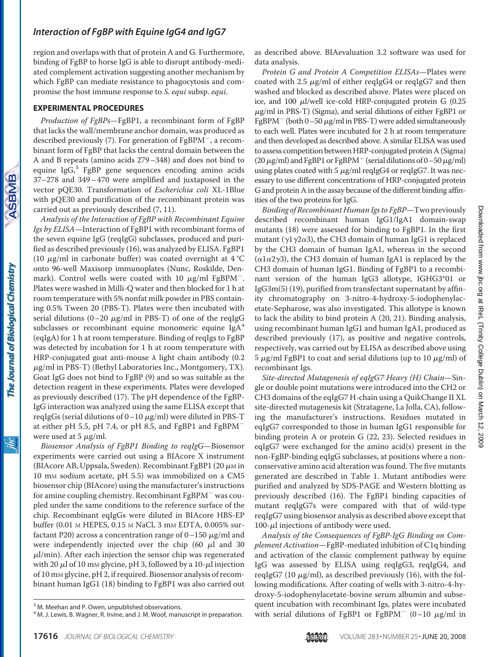region and overlaps with that of protein A and G. Furthermore, binding of FgBP to horse IgG is able to disrupt antibody-mediated complement activation suggesting another mechanism by which FgBP can mediate resistance to phagocytosis and compromise the host immune response to *S. equi* subsp. *equi*.

#### **EXPERIMENTAL PROCEDURES**

*Production of FgBPs*—FgBP1, a recombinant form of FgBP that lacks the wall/membrane anchor domain, was produced as described previously (7). For generation of  $FgBPM^-$ , a recombinant form of FgBP that lacks the central domain between the A and B repeats (amino acids 279–348) and does not bind to equine Ig $G<sub>3</sub>$ <sup>3</sup> FgBP gene sequences encoding amino acids 37–278 and 349– 470 were amplified and juxtaposed in the vector pQE30. Transformation of *Escherichia coli* XL-1Blue with pQE30 and purification of the recombinant protein was carried out as previously described (7, 11).

*Analysis of the Interaction of FgBP with Recombinant Equine Igs by ELISA*—Interaction of FgBP1 with recombinant forms of the seven equine IgG (reqIgG) subclasses, produced and purified as described previously (16), was analyzed by ELISA. FgBP1 (10  $\mu$ g/ml in carbonate buffer) was coated overnight at 4 °C onto 96-well Maxisorp immunoplates (Nunc, Roskilde, Denmark). Control wells were coated with 10  $\mu$ g/ml FgBPM<sup>-</sup>. Plates were washed in Milli-Q water and then blocked for 1 h at room temperature with 5% nonfat milk powder in PBS containing 0.5% Tween 20 (PBS-T). Plates were then incubated with serial dilutions (0–20  $\mu$ g/ml in PBS-T) of one of the reqIgG subclasses or recombinant equine monomeric equine Ig $A<sup>4</sup>$ (eqIgA) for 1 h at room temperature. Binding of reqIgs to FgBP was detected by incubation for 1 h at room temperature with HRP-conjugated goat anti-mouse  $\lambda$  light chain antibody (0.2  $\mu$ g/ml in PBS-T) (Bethyl Laboratories Inc., Montgomery, TX). Goat IgG does not bind to FgBP (9) and so was suitable as the detection reagent in these experiments. Plates were developed as previously described (17). The pH dependence of the FgBP-IgG interaction was analyzed using the same ELISA except that reqIgGs (serial dilutions of 0–10  $\mu$ g/ml) were diluted in PBS-T at either pH 5.5, pH 7.4, or pH 8.5, and FgBP1 and  $FgBPM^$ were used at 5  $\mu$ g/ml.

*Biosensor Analysis of FgBP1 Binding to reqIgG*—Biosensor experiments were carried out using a BIAcore X instrument (BIAcore AB, Uppsala, Sweden). Recombinant FgBP1 (20  $\mu$ M in 10 mM sodium acetate, pH 5.5) was immobilized on a CM5 biosensor chip (BIAcore) using the manufacturer's instructions for amine coupling chemistry. Recombinant FgBPM<sup>-</sup> was coupled under the same conditions to the reference surface of the chip. Recombinant eqIgGs were diluted in BIAcore HBS-EP buffer (0.01 M HEPES, 0.15 M NaCl, 3 mM EDTA, 0.005% surfactant P20) across a concentration range of 0–150  $\mu$ g/ml and were independently injected over the chip (60  $\mu$ l and 30  $\mu$ l/min). After each injection the sensor chip was regenerated with 20  $\mu$ l of 10 mm glycine, pH 3, followed by a 10- $\mu$ l injection of 10 mM glycine, pH 2, if required. Biosensor analysis of recombinant human IgG1 (18) binding to FgBP1 was also carried out

as described above. BIAevaluation 3.2 software was used for data analysis.

*Protein G and Protein A Competition ELISAs*—Plates were coated with 2.5  $\mu$ g/ml of either reqIgG4 or reqIgG7 and then washed and blocked as described above. Plates were placed on ice, and 100 µl/well ice-cold HRP-conjugated protein G (0.25  $\mu$ g/ml in PBS-T) (Sigma), and serial dilutions of either FgBP1 or FgBPM<sup> $-$ </sup> (both 0-50  $\mu$ g/ml in PBS-T) were added simultaneously to each well. Plates were incubated for 2 h at room temperature and then developed as described above. A similar ELISA was used to assess competition between HRP-conjugated protein A (Sigma) (20  $\mu$ g/ml) and FgBP1 or FgBPM<sup>-</sup> (serial dilutions of 0-50  $\mu$ g/ml) using plates coated with  $5 \mu g/ml$  reqIgG4 or reqIgG7. It was necessary to use different concentrations of HRP-conjugated protein G and protein A in the assay because of the different binding affinities of the two proteins for IgG.

*Binding of Recombinant Human Igs to FgBP*—Two previously described recombinant human IgG1/IgA1 domain-swap mutants (18) were assessed for binding to FgBP1. In the first mutant ( $\gamma$ 1 $\gamma$ 2 $\alpha$ 3), the CH3 domain of human IgG1 is replaced by the CH3 domain of human IgA1, whereas in the second  $(\alpha1\alpha2\gamma3)$ , the CH3 domain of human IgA1 is replaced by the CH3 domain of human IgG1. Binding of FgBP1 to a recombinant version of the human IgG3 allotype, IGHG3\*01 or IgG3m(5) (19), purified from transfectant supernatant by affinity chromatography on 3-nitro-4-hydroxy-5-iodophenylacetate-Sepharose, was also investigated. This allotype is known to lack the ability to bind protein A (20, 21). Binding analysis, using recombinant human IgG1 and human IgA1, produced as described previously (17), as positive and negative controls, respectively, was carried out by ELISA as described above using 5  $\mu$ g/ml FgBP1 to coat and serial dilutions (up to 10  $\mu$ g/ml) of recombinant Igs.

*Site-directed Mutagenesis of eqIgG7 Heavy (H) Chain*—Single or double point mutations were introduced into the CH2 or CH3 domains of the eqIgG7 H-chain using a QuikChange II XL site-directed mutagenesis kit (Stratagene, La Jolla, CA), following the manufacturer's instructions. Residues mutated in eqIgG7 corresponded to those in human IgG1 responsible for binding protein A or protein G (22, 23). Selected residues in eqIgG7 were exchanged for the amino acid(s) present in the non-FgBP-binding eqIgG subclasses, at positions where a nonconservative amino acid alteration was found. The five mutants generated are described in Table 1. Mutant antibodies were purified and analyzed by SDS-PAGE and Western blotting as previously described (16). The FgBP1 binding capacities of mutant reqIgG7s were compared with that of wild-type reqIgG7 using biosensor analysis as described above except that  $100$ - $\mu$ l injections of antibody were used.

*Analysis of the Consequences of FgBP-IgG Binding on Complement Activation*—FgBP-mediated inhibition of C1q binding and activation of the classic complement pathway by equine IgG was assessed by ELISA using reqIgG3, reqIgG4, and reqIgG7 (10  $\mu$ g/ml), as described previously (16), with the following modifications. After coating of wells with 3-nitro-4-hydroxy-5-iodophenylacetate-bovine serum albumin and subsequent incubation with recombinant Igs, plates were incubated with serial dilutions of FgBP1 or FgBPM<sup>-</sup> (0-10  $\mu$ g/ml in

<sup>&</sup>lt;sup>3</sup> M. Meehan and P. Owen, unpublished observations.

<sup>&</sup>lt;sup>4</sup> M. J. Lewis, B. Wagner, R. Irvine, and J. M. Woof, manuscript in preparation.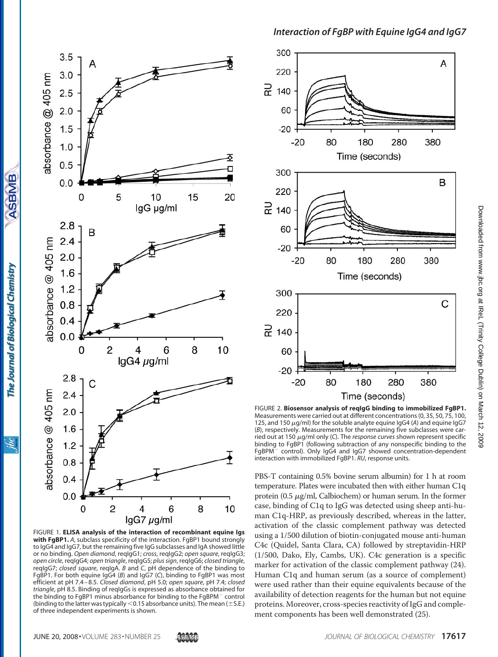



FIGURE 1. **ELISA analysis of the interaction of recombinant equine Igs with FgBP1.** *A*, subclass specificity of the interaction. FgBP1 bound strongly to IgG4 and IgG7, but the remaining five IgG subclasses and IgA showed little or no binding. *Open diamond*, reqIgG1; *cross*, reqIgG2; *open square*, reqIgG3; *open circle*, reqIgG4; *open triangle*, reqIgG5; *plus sign*, reqIgG6; *closed triangle*, reqIgG7; *closed square*, reqIgA. *B* and *C*, pH dependence of the binding to FgBP1. For both equine IgG4 (*B*) and IgG7 (*C*), binding to FgBP1 was most efficient at pH 7.4 – 8.5. *Closed diamond*, pH 5.0; *open square*, pH 7.4; *closed triangle*, pH 8.5. Binding of reqIgGs is expressed as absorbance obtained for the binding to FgBP1 minus absorbance for binding to the FgBPM<sup>-</sup> control (binding to the latter was typically  $<$  0.15 absorbance units). The mean ( $\pm$  S.E.) of three independent experiments is shown.



FIGURE 2. **Biosensor analysis of reqIgG binding to immobilized FgBP1.** Measurements were carried out at different concentrations (0, 35, 50, 75, 100, 125, and 150  $\mu$ g/ml) for the soluble analyte equine IgG4 (A) and equine IgG7 (*B*), respectively. Measurements for the remaining five subclasses were carried out at 150  $\mu$ g/ml only (*C*). The *response curves* shown represent specific binding to FgBP1 (following subtraction of any nonspecific binding to the FgBPM<sup>-</sup> control). Only IgG4 and IgG7 showed concentration-dependent interaction with immobilized FgBP1. *RU*, response units.

PBS-T containing 0.5% bovine serum albumin) for 1 h at room temperature. Plates were incubated then with either human C1q protein (0.5  $\mu$ g/ml, Calbiochem) or human serum. In the former case, binding of C1q to IgG was detected using sheep anti-human C1q-HRP, as previously described, whereas in the latter, activation of the classic complement pathway was detected using a 1/500 dilution of biotin-conjugated mouse anti-human C4c (Quidel, Santa Clara, CA) followed by streptavidin-HRP (1/500, Dako, Ely, Cambs, UK). C4c generation is a specific marker for activation of the classic complement pathway (24). Human C1q and human serum (as a source of complement) were used rather than their equine equivalents because of the availability of detection reagents for the human but not equine proteins. Moreover, cross-species reactivity of IgG and complement components has been well demonstrated (25).

**ASBMB** 

The Journal of Biological Chemistry

<u>isic</u>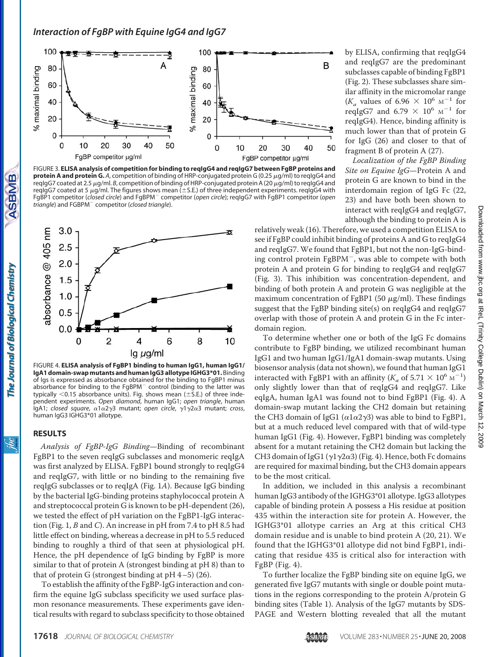

FIGURE 3. **ELISA analysis of competition for binding to reqIgG4 and reqIgG7 between FgBP proteins and protein A and protein G.** A, competition of binding of HRP-conjugated protein G (0.25  $\mu$ g/ml) to reqlgG4 and reqIgG7 coated at 2.5 µg/ml. *B*, competition of binding of HRP-conjugated protein A (20 µg/ml) to reqIgG4 and reqIgG7 coated at 5  $\mu$ g/ml. The figures shows mean ( $\pm$ S.E.) of three independent experiments. reqIgG4 with FgBP1 competitor (*closed circle*) and FgBPM competitor (*open circle*); reqIgG7 with FgBP1 competitor (*open triangle*) and FGBPM competitor (*closed triangle*).



FIGURE 4. **ELISA analysis of FgBP1 binding to human IgG1, human IgG1/ IgA1 domain-swap mutants and human IgG3 allotype IGHG3\*01.** Binding of Igs is expressed as absorbance obtained for the binding to FgBP1 minus absorbance for binding to the FgBPM<sup>-</sup> control (binding to the latter was typically  $<$  0.15 absorbance units). Fig. shows mean ( $\pm$  S.E.) of three independent experiments. *Open diamond*, human IgG1; *open triangle*, human IgA1; *closed square*, α1α2γ3 mutant; *open circle*, γ1γ2α3 mutant; *cross*, human IgG3 IGHG3\*01 allotype.

#### **RESULTS**

*Analysis of FgBP-IgG Binding*—Binding of recombinant FgBP1 to the seven reqIgG subclasses and monomeric reqIgA was first analyzed by ELISA. FgBP1 bound strongly to reqIgG4 and reqIgG7, with little or no binding to the remaining five reqIgG subclasses or to reqIgA (Fig. 1*A*). Because IgG binding by the bacterial IgG-binding proteins staphylococcal protein A and streptococcal protein G is known to be pH-dependent (26), we tested the effect of pH variation on the FgBP1-IgG interaction (Fig. 1, *B* and *C*). An increase in pH from 7.4 to pH 8.5 had little effect on binding, whereas a decrease in pH to 5.5 reduced binding to roughly a third of that seen at physiological pH. Hence, the pH dependence of IgG binding by FgBP is more similar to that of protein A (strongest binding at pH 8) than to that of protein G (strongest binding at  $pH$  4–5) (26).

To establish the affinity of the FgBP-IgG interaction and confirm the equine IgG subclass specificity we used surface plasmon resonance measurements. These experiments gave identical results with regard to subclass specificity to those obtained by ELISA, confirming that reqIgG4 and reqIgG7 are the predominant subclasses capable of binding FgBP1 (Fig. 2). These subclasses share similar affinity in the micromolar range ( $K_a$  values of 6.96  $\times$  10<sup>6</sup> M<sup>-1</sup> for reqIgG7 and 6.79  $\times$  10<sup>6</sup> M<sup>-1</sup> for reqIgG4). Hence, binding affinity is much lower than that of protein G for IgG (26) and closer to that of fragment B of protein A (27).

*Localization of the FgBP Binding Site on Equine IgG*—Protein A and protein G are known to bind in the interdomain region of IgG Fc (22, 23) and have both been shown to interact with reqIgG4 and reqIgG7, although the binding to protein A is

relatively weak (16). Therefore, we used a competition ELISA to see if FgBP could inhibit binding of proteins A and G to reqIgG4 and reqIgG7. We found that FgBP1, but not the non-IgG-binding control protein  $FgBPM^-$ , was able to compete with both protein A and protein G for binding to reqIgG4 and reqIgG7 (Fig. 3). This inhibition was concentration-dependent, and binding of both protein A and protein G was negligible at the maximum concentration of FgBP1 (50  $\mu$ g/ml). These findings suggest that the FgBP binding site(s) on reqIgG4 and reqIgG7 overlap with those of protein A and protein G in the Fc interdomain region.

To determine whether one or both of the IgG Fc domains contribute to FgBP binding, we utilized recombinant human IgG1 and two human IgG1/IgA1 domain-swap mutants. Using biosensor analysis (data not shown), we found that human IgG1 interacted with FgBP1 with an affinity ( $K_a$  of 5.71  $\times$  10<sup>6</sup> M<sup>-1</sup>) only slightly lower than that of reqIgG4 and reqIgG7. Like eqIgA, human IgA1 was found not to bind FgBP1 (Fig. 4). A domain-swap mutant lacking the CH2 domain but retaining the CH3 domain of IgG1 ( $\alpha$ 1 $\alpha$ 2 $\gamma$ 3) was able to bind to FgBP1, but at a much reduced level compared with that of wild-type human IgG1 (Fig. 4). However, FgBP1 binding was completely absent for a mutant retaining the CH2 domain but lacking the CH3 domain of IgG1 ( $\gamma$ 1 $\gamma$ 2 $\alpha$ 3) (Fig. 4). Hence, both Fc domains are required for maximal binding, but the CH3 domain appears to be the most critical.

In addition, we included in this analysis a recombinant human IgG3 antibody of the IGHG3\*01 allotype. IgG3 allotypes capable of binding protein A possess a His residue at position 435 within the interaction site for protein A. However, the IGHG3\*01 allotype carries an Arg at this critical CH3 domain residue and is unable to bind protein A (20, 21). We found that the IGHG3\*01 allotype did not bind FgBP1, indicating that residue 435 is critical also for interaction with FgBP (Fig. 4).

To further localize the FgBP binding site on equine IgG, we generated five IgG7 mutants with single or double point mutations in the regions corresponding to the protein A/protein G binding sites (Table 1). Analysis of the IgG7 mutants by SDS-PAGE and Western blotting revealed that all the mutant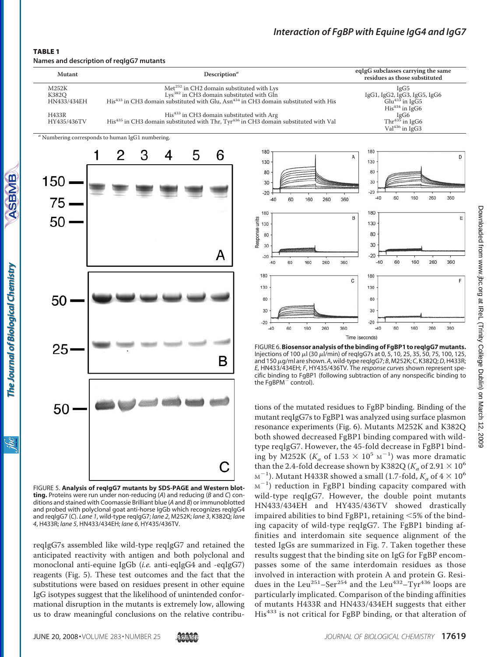#### TABLE 1

#### **Names and description of reqIgG7 mutants**





FIGURE 5. **Analysis of reqIgG7 mutants by SDS-PAGE and Western blotting.** Proteins were run under non-reducing (*A*) and reducing (*B* and *C*) conditions and stained with Coomassie Brilliant blue (*A* and *B*) or immunoblotted and probed with polyclonal goat anti-horse IgGb which recognizes reqIgG4 and reqIgG7 (*C*). *Lane 1*, wild-type reqIgG7; *lane 2*, M252K; *lane 3*, K382Q; *lane 4*, H433R; *lane 5*, HN433/434EH; *lane 6*, HY435/436TV.

reqIgG7s assembled like wild-type reqIgG7 and retained the anticipated reactivity with antigen and both polyclonal and monoclonal anti-equine IgGb (*i.e.* anti-eqIgG4 and -eqIgG7) reagents (Fig. 5). These test outcomes and the fact that the substitutions were based on residues present in other equine IgG isotypes suggest that the likelihood of unintended conformational disruption in the mutants is extremely low, allowing us to draw meaningful conclusions on the relative contribu-



FIGURE 6.**Biosensor analysis of the binding of FgBP1 to reqIgG7 mutants.** Injections of 100  $\mu$ l (30  $\mu$ l/min) of reqIgG7s at 0, 5, 10, 25, 35, 50, 75, 100, 125, and 150-g/ml are shown.*A*, wild-type reqIgG7; *B*, M252K; *C*, K382Q;*D*, H433R; *E*, HN433/434EH; *F*, HY435/436TV. The *response curves* shown represent specific binding to FgBP1 (following subtraction of any nonspecific binding to the FgBPM<sup>-</sup> control).

tions of the mutated residues to FgBP binding. Binding of the mutant reqIgG7s to FgBP1 was analyzed using surface plasmon resonance experiments (Fig. 6). Mutants M252K and K382Q both showed decreased FgBP1 binding compared with wildtype reqIgG7. However, the 45-fold decrease in FgBP1 binding by M252K ( $K_a$  of 1.53  $\times$  10<sup>5</sup> M<sup>-1</sup>) was more dramatic than the 2.4-fold decrease shown by K382Q ( $K_a$  of 2.91  $\times$  10<sup>6</sup> м $^{-1}$ ). Mutant H433R showed a small (1.7-fold,  $K_a$  of 4  $\times$  10 $^6$  $M^{-1}$ ) reduction in FgBP1 binding capacity compared with wild-type reqIgG7. However, the double point mutants HN433/434EH and HY435/436TV showed drastically impaired abilities to bind FgBP1, retaining  $<$  5% of the binding capacity of wild-type reqIgG7. The FgBP1 binding affinities and interdomain site sequence alignment of the tested IgGs are summarized in Fig. 7. Taken together these results suggest that the binding site on IgG for FgBP encompasses some of the same interdomain residues as those involved in interaction with protein A and protein G. Residues in the Leu<sup>251</sup>–Ser<sup>254</sup> and the Leu<sup>432</sup>–Tyr<sup>436</sup> loops are particularly implicated. Comparison of the binding affinities of mutants H433R and HN433/434EH suggests that either His<sup>433</sup> is not critical for FgBP binding, or that alteration of

The Journal of Biological Chemistry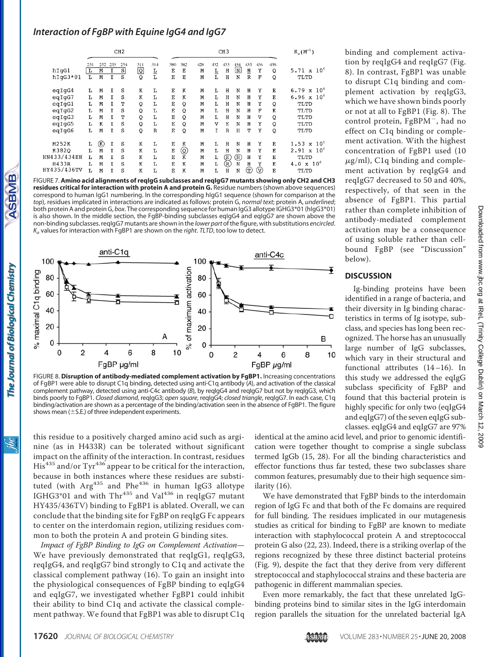| CH2                 |               |               |               |               |               |                      | CH <sub>3</sub> |               |               |                                      |               |                         |                                      |               |               | $K_a(M^{-1})$            |  |
|---------------------|---------------|---------------|---------------|---------------|---------------|----------------------|-----------------|---------------|---------------|--------------------------------------|---------------|-------------------------|--------------------------------------|---------------|---------------|--------------------------|--|
| hIqGl<br>$hIqG3*01$ | 251<br>L<br>L | 252<br>M<br>M | 253<br>I<br>I | 254<br>S<br>S | 311<br>Q<br>Q | 314<br>$\frac{L}{L}$ | 380<br>E<br>E   | 382<br>E<br>E | 428<br>M<br>M | 432<br>$\underline{\mathbf{L}}$<br>L | 433<br>H<br>H | 434<br>$\mathbf N$<br>N | 435<br>$\underline{\mathbf{H}}$<br>R | 436<br>Y<br>F | 438<br>Q<br>Q | 5.71 x $10^6$<br>TLTD    |  |
| eqIgG4              | г             | M             | т             | s             | K             | г                    | Е               | К             | M             | L                                    | H             | N                       | н                                    | Y             | Е             | 6.79 $x$ 10 <sup>6</sup> |  |
| eqIgG7              | г             | М             | I             | S             | K             | г                    | E               | К             | M             | L                                    | Н             | N                       | н                                    | Υ             | Е             | $6.96 \times 10^{6}$     |  |
| eqIgG1              | r             | М             | r             | т             | Q             | L                    | E               | Q             | M             | L                                    | H             | N                       | H                                    | Y             | Q             | TLTD                     |  |
| eqIqG2              | L             | M             | т             | S             | $\mathbf Q$   | L                    | E               | Q             | M             | L                                    | H             | N                       | H                                    | $\mathbf{F}$  | K             | TLTD                     |  |
| eqIqG3              | L             | M             | τ             | т             | Q             | L                    | Ë               | Q             | M             | L                                    | H             | N                       | н                                    | v             | Q             | TLTD                     |  |
| eqIgG5              | г             | K             | τ             | S             | $\mathbf Q$   | г                    | Е               | Q             | М             | v                                    | Е             | N                       | н                                    | Y             | $\mathbf Q$   | TLTD                     |  |
| egIgG6              | L             | М             | т             | Ś             | $\Omega$      | R                    | E               | Q             | M             | T.                                   | R             | H                       | т                                    | Y             | Q             | TLTD                     |  |
| M252K               | г             | ®             | I             | S             | К             | L                    | E               | K             | М             | L                                    | H             | N                       | н                                    | Y             | Е             | $1.53 \times 10^{5}$     |  |
| K382Q               | L             | M             | I.            | S             | K             | L                    | E               | ©             | M             | L                                    | H             | N                       | H                                    | Y             | Е             | $2.91 \times 10^{6}$     |  |
| HN433/434EH         | L             | M             | т             | S             | K             | L                    | E               | K             | M             | $\mathbf L$                          | E             | (H)                     | н                                    | Y             | E             | TLTD                     |  |
| H433R               | т.            | М             | т             | S             | К             | L                    | E               | к             | М             | L                                    | (R)           | N                       | н                                    | Υ             | Е             | $4.0 \times 10^6$        |  |
| HY435/436TV         | L             | M             | I             | S             | K             | L                    | E               | K             | M             | L                                    | н             | N                       | $^\copyright$                        | (v)           | Е             | TLTD                     |  |

FIGURE 7. **Amino acid alignments of reqIgG subclasses and reqIgG7 mutants showing only CH2 and CH3 residues critical for interaction with protein A and protein G.** Residue numbers (shown above sequences) correspond to human IgG1 numbering. In the corresponding hIgG1 sequence (shown for comparison at the *top*), residues implicated in interactions are indicated as follows: protein G, *normal text*; protein A, *underlined*; both protein A and protein G, *box*. The corresponding sequence for human IgG3 allotype IGHG3\*01 (hIgG3\*01) is also shown. In the middle section, the FgBP-binding subclasses eqIgG4 and eqIgG7 are shown above the non-binding subclasses. reqIgG7 mutants are shown in the *lower part* of the figure, with substitutions *encircled*. *Ka* values for interaction with FgBP1 are shown on the *right*. *TLTD*, too low to detect.



FIGURE 8. **Disruption of antibody-mediated complement activation by FgBP1.** Increasing concentrations of FgBP1 were able to disrupt C1q binding, detected using anti-C1q antibody (*A*), and activation of the classical complement pathway, detected using anti-C4c antibody (*B*), by reqIgG4 and reqIgG7 but not by reqIgG3, which binds poorly to FgBP1. *Closed diamond*, reqIgG3; *open square*, reqIgG4; *closed triangle*, reqIgG7. In each case, C1q binding/activation are shown as a percentage of the binding/activation seen in the absence of FgBP1. The figure shows mean ( $\pm$  S.E.) of three independent experiments.

this residue to a positively charged amino acid such as arginine (as in H433R) can be tolerated without significant impact on the affinity of the interaction. In contrast, residues His<sup>435</sup> and/or Tyr<sup>436</sup> appear to be critical for the interaction, because in both instances where these residues are substituted (with Arg<sup>435</sup> and Phe<sup>436</sup> in human IgG3 allotype IGHG3\*01 and with Thr<sup>435</sup> and Val<sup>436</sup> in reqIgG7 mutant HY435/436TV) binding to FgBP1 is ablated. Overall, we can conclude that the binding site for FgBP on reqIgG Fc appears to center on the interdomain region, utilizing residues common to both the protein A and protein G binding sites.

*Impact of FgBP Binding to IgG on Complement Activation*— We have previously demonstrated that reqIgG1, reqIgG3, reqIgG4, and reqIgG7 bind strongly to C1q and activate the classical complement pathway (16). To gain an insight into the physiological consequences of FgBP binding to eqIgG4 and eqIgG7, we investigated whether FgBP1 could inhibit their ability to bind C1q and activate the classical complement pathway. We found that FgBP1 was able to disrupt C1q

identical at the amino acid level, and prior to genomic identification were together thought to comprise a single subclass termed IgGb (15, 28). For all the binding characteristics and effector functions thus far tested, these two subclasses share common features, presumably due to their high sequence similarity (16).

We have demonstrated that FgBP binds to the interdomain region of IgG Fc and that both of the Fc domains are required for full binding. The residues implicated in our mutagenesis studies as critical for binding to FgBP are known to mediate interaction with staphylococcal protein A and streptococcal protein G also (22, 23). Indeed, there is a striking overlap of the regions recognized by these three distinct bacterial proteins (Fig. 9), despite the fact that they derive from very different streptococcal and staphylococcal strains and these bacteria are pathogenic in different mammalian species.

Even more remarkably, the fact that these unrelated IgGbinding proteins bind to similar sites in the IgG interdomain region parallels the situation for the unrelated bacterial IgA

binding and complement activation by reqIgG4 and reqIgG7 (Fig. 8). In contrast, FgBP1 was unable to disrupt C1q binding and complement activation by reqIgG3, which we have shown binds poorly or not at all to FgBP1 (Fig. 8). The control protein, FgBPM<sup>-</sup>, had no effect on C1q binding or complement activation. With the highest concentration of FgBP1 used (10  $\mu$ g/ml), C1q binding and complement activation by reqIgG4 and reqIgG7 decreased to 50 and 40%, respectively, of that seen in the absence of FgBP1. This partial rather than complete inhibition of antibody-mediated complement activation may be a consequence of using soluble rather than cellbound FgBP (see "Discussion" below).

### **DISCUSSION**

Ig-binding proteins have been identified in a range of bacteria, and their diversity in Ig binding characteristics in terms of Ig isotype, subclass, and species has long been recognized. The horse has an unusually large number of IgG subclasses, which vary in their structural and functional attributes (14–16). In this study we addressed the eqIgG subclass specificity of FgBP and found that this bacterial protein is highly specific for only two (eqIgG4 and eqIgG7) of the seven eqIgG subclasses. eqIgG4 and eqIgG7 are 97%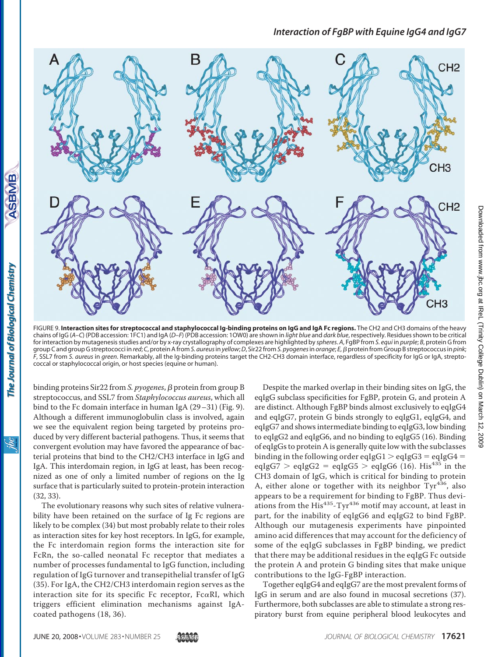

FIGURE 9. **Interaction sites for streptococcal and staphylococcal Ig-binding proteins on IgG and IgA Fc regions.** The CH2 and CH3 domains of the heavy chains of IgG (*A–C*) (PDB accession: 1FC1) and IgA (*D–F*) (PDB accession: 1OW0) are shown in *light blue* and *dark blue*, respectively. Residues shown to be critical for interaction by mutagenesis studies and/or by x-ray crystallography of complexes are highlighted by *spheres*. *A*, FgBP from *S. equi* in *purple*; *B*, protein G from group C and group G streptococci in *red*; *C*, protein Afrom *S. aureus*in *yellow*;*D*, Sir22from *S. pyogenes*in *orange*; *E*,proteinfrom Group B streptococcus in *pink*; *F*, SSL7 from *S. aureus* in *green*. Remarkably, all the Ig-binding proteins target the CH2-CH3 domain interface, regardless of specificity for IgG or IgA, streptococcal or staphylococcal origin, or host species (equine or human).

binding proteins Sir22 from *S. pyogenes*, β protein from group B streptococcus, and SSL7 from *Staphylococcus aureus*, which all bind to the Fc domain interface in human IgA (29–31) (Fig. 9). Although a different immunoglobulin class is involved, again we see the equivalent region being targeted by proteins produced by very different bacterial pathogens. Thus, it seems that convergent evolution may have favored the appearance of bacterial proteins that bind to the CH2/CH3 interface in IgG and IgA. This interdomain region, in IgG at least, has been recognized as one of only a limited number of regions on the Ig surface that is particularly suited to protein-protein interaction (32, 33).

The evolutionary reasons why such sites of relative vulnerability have been retained on the surface of Ig Fc regions are likely to be complex (34) but most probably relate to their roles as interaction sites for key host receptors. In IgG, for example, the Fc interdomain region forms the interaction site for FcRn, the so-called neonatal Fc receptor that mediates a number of processes fundamental to IgG function, including regulation of IgG turnover and transepithelial transfer of IgG (35). For IgA, the CH2/CH3 interdomain region serves as the interaction site for its specific Fc receptor, Fc $\alpha$ RI, which triggers efficient elimination mechanisms against IgAcoated pathogens (18, 36).

Despite the marked overlap in their binding sites on IgG, the eqIgG subclass specificities for FgBP, protein G, and protein A are distinct. Although FgBP binds almost exclusively to eqIgG4 and eqIgG7, protein G binds strongly to eqIgG1, eqIgG4, and eqIgG7 and shows intermediate binding to eqIgG3, low binding to eqIgG2 and eqIgG6, and no binding to eqIgG5 (16). Binding of eqIgGs to protein A is generally quite low with the subclasses binding in the following order eqIgG1  $>$  eqIgG3 = eqIgG4 = eqIgG7 > eqIgG2 = eqIgG5 > eqIgG6 (16). His<sup>435</sup> in the CH3 domain of IgG, which is critical for binding to protein A, either alone or together with its neighbor  $Tyr^{436}$ , also appears to be a requirement for binding to FgBP. Thus deviations from the  $His^{435}$ -Tyr<sup>436</sup> motif may account, at least in part, for the inability of eqIgG6 and eqIgG2 to bind FgBP. Although our mutagenesis experiments have pinpointed amino acid differences that may account for the deficiency of some of the eqIgG subclasses in FgBP binding, we predict that there may be additional residues in the eqIgG Fc outside the protein A and protein G binding sites that make unique contributions to the IgG-FgBP interaction.

Together eqIgG4 and eqIgG7 are the most prevalent forms of IgG in serum and are also found in mucosal secretions (37). Furthermore, both subclasses are able to stimulate a strong respiratory burst from equine peripheral blood leukocytes and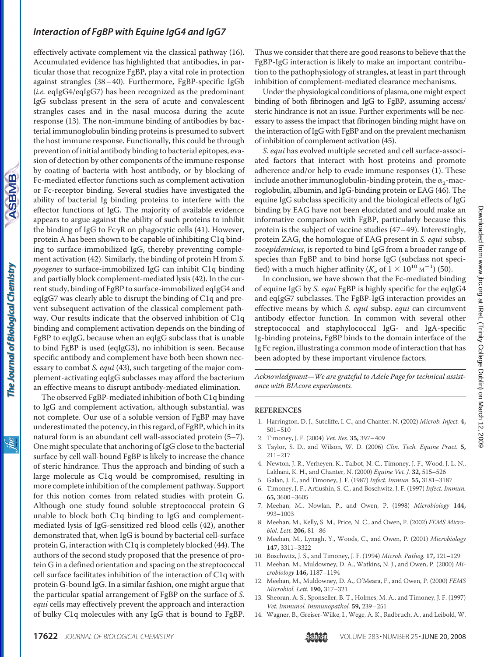effectively activate complement via the classical pathway (16). Accumulated evidence has highlighted that antibodies, in particular those that recognize FgBP, play a vital role in protection against strangles (38– 40). Furthermore, FgBP-specific IgGb (*i.e.* eqIgG4/eqIgG7) has been recognized as the predominant IgG subclass present in the sera of acute and convalescent strangles cases and in the nasal mucosa during the acute response (13). The non-immune binding of antibodies by bacterial immunoglobulin binding proteins is presumed to subvert the host immune response. Functionally, this could be through prevention of initial antibody binding to bacterial epitopes, evasion of detection by other components of the immune response by coating of bacteria with host antibody, or by blocking of Fc-mediated effector functions such as complement activation or Fc-receptor binding. Several studies have investigated the ability of bacterial Ig binding proteins to interfere with the effector functions of IgG. The majority of available evidence appears to argue against the ability of such proteins to inhibit the binding of IgG to  $Fc\gamma R$  on phagocytic cells (41). However, protein A has been shown to be capable of inhibiting C1q binding to surface-immobilized IgG, thereby preventing complement activation (42). Similarly, the binding of protein H from *S. pyogenes* to surface-immobilized IgG can inhibit C1q binding and partially block complement-mediated lysis (42). In the current study, binding of FgBP to surface-immobilized eqIgG4 and eqIgG7 was clearly able to disrupt the binding of C1q and prevent subsequent activation of the classical complement pathway. Our results indicate that the observed inhibition of C1q binding and complement activation depends on the binding of FgBP to eqIgG, because when an eqIgG subclass that is unable to bind FgBP is used (eqIgG3), no inhibition is seen. Because specific antibody and complement have both been shown necessary to combat *S. equi* (43), such targeting of the major complement-activating eqIgG subclasses may afford the bacterium an effective means to disrupt antibody-mediated elimination.

The observed FgBP-mediated inhibition of both C1q binding to IgG and complement activation, although substantial, was not complete. Our use of a soluble version of FgBP may have underestimated the potency, in this regard, of FgBP, which in its natural form is an abundant cell wall-associated protein (5–7). One might speculate that anchoring of IgG close to the bacterial surface by cell wall-bound FgBP is likely to increase the chance of steric hindrance. Thus the approach and binding of such a large molecule as C1q would be compromised, resulting in more complete inhibition of the complement pathway. Support for this notion comes from related studies with protein G. Although one study found soluble streptococcal protein G unable to block both C1q binding to IgG and complementmediated lysis of IgG-sensitized red blood cells (42), another demonstrated that, when IgG is bound by bacterial cell-surface protein G, interaction with C1q is completely blocked (44). The authors of the second study proposed that the presence of protein G in a defined orientation and spacing on the streptococcal cell surface facilitates inhibition of the interaction of C1q with protein G-bound IgG. In a similar fashion, one might argue that the particular spatial arrangement of FgBP on the surface of *S. equi* cells may effectively prevent the approach and interaction of bulky C1q molecules with any IgG that is bound to FgBP.

Thus we consider that there are good reasons to believe that the FgBP-IgG interaction is likely to make an important contribution to the pathophysiology of strangles, at least in part through inhibition of complement-mediated clearance mechanisms.

Under the physiological conditions of plasma, one might expect binding of both fibrinogen and IgG to FgBP, assuming access/ steric hindrance is not an issue. Further experiments will be necessary to assess the impact that fibrinogen binding might have on the interaction of IgG with FgBP and on the prevalent mechanism of inhibition of complement activation (45).

*S. equi* has evolved multiple secreted and cell surface-associated factors that interact with host proteins and promote adherence and/or help to evade immune responses (1). These include another immunoglobulin-binding protein, the  $\alpha_2$ -macroglobulin, albumin, and IgG-binding protein or EAG (46). The equine IgG subclass specificity and the biological effects of IgG binding by EAG have not been elucidated and would make an informative comparison with FgBP, particularly because this protein is the subject of vaccine studies (47– 49). Interestingly, protein ZAG, the homologue of EAG present in *S. equi* subsp. *zooepidemicus*, is reported to bind IgG from a broader range of species than FgBP and to bind horse IgG (subclass not specified) with a much higher affinity ( $K_a$  of  $1 \times 10^{10}$  M<sup>-1</sup>) (50).

In conclusion, we have shown that the Fc-mediated binding of equine IgG by *S. equi* FgBP is highly specific for the eqIgG4 and eqIgG7 subclasses. The FgBP-IgG interaction provides an effective means by which *S. equi* subsp. *equi* can circumvent antibody effector function. In common with several other streptococcal and staphylococcal IgG- and IgA-specific Ig-binding proteins, FgBP binds to the domain interface of the Ig Fc region, illustrating a common mode of interaction that has been adopted by these important virulence factors.

*Acknowledgment—We are grateful to Adele Page for technical assistance with BIAcore experiments.*

#### **REFERENCES**

- 1. Harrington, D. J., Sutcliffe, I. C., and Chanter, N. (2002) *Microb. Infect.* **4,** 501–510
- 2. Timoney, J. F. (2004) *Vet. Res.* **35,** 397–409
- 3. Taylor, S. D., and Wilson, W. D. (2006) *Clin. Tech. Equine Pract.* **5,** 211–217
- 4. Newton, J. R., Verheyen, K., Talbot, N. C., Timoney, J. F., Wood, J. L. N., Lakhani, K. H., and Chanter, N. (2000) *Equine Vet. J.* **32,** 515–526
- 5. Galan, J. E., and Timoney, J. F. (1987) *Infect. Immun.* **55,** 3181–3187
- 6. Timoney, J. F., Artiushin, S. C., and Boschwitz, J. F. (1997) *Infect. Immun.* **65,** 3600–3605
- 7. Meehan, M., Nowlan, P., and Owen, P. (1998) *Microbiology* **144,** 993–1003
- 8. Meehan, M., Kelly, S. M., Price, N. C., and Owen, P. (2002) *FEMS Microbiol. Lett.* **206,** 81–86
- 9. Meehan, M., Lynagh, Y., Woods, C., and Owen, P. (2001) *Microbiology* **147,** 3311–3322
- 10. Boschwitz, J. S., and Timoney, J. F. (1994) *Microb. Pathog.* **17,** 121–129
- 11. Meehan, M., Muldowney, D. A., Watkins, N. J., and Owen, P. (2000) *Microbiology* **146,** 1187–1194
- 12. Meehan, M., Muldowney, D. A., O'Meara, F., and Owen, P. (2000) *FEMS Microbiol. Lett.* **190,** 317–321
- 13. Sheoran, A. S., Sponseller, B. T., Holmes, M. A., and Timoney, J. F. (1997) *Vet. Immunol. Immunopathol.* **59,** 239–251
- 14. Wagner, B., Greiser-Wilke, I., Wege, A. K., Radbruch, A., and Leibold, W.